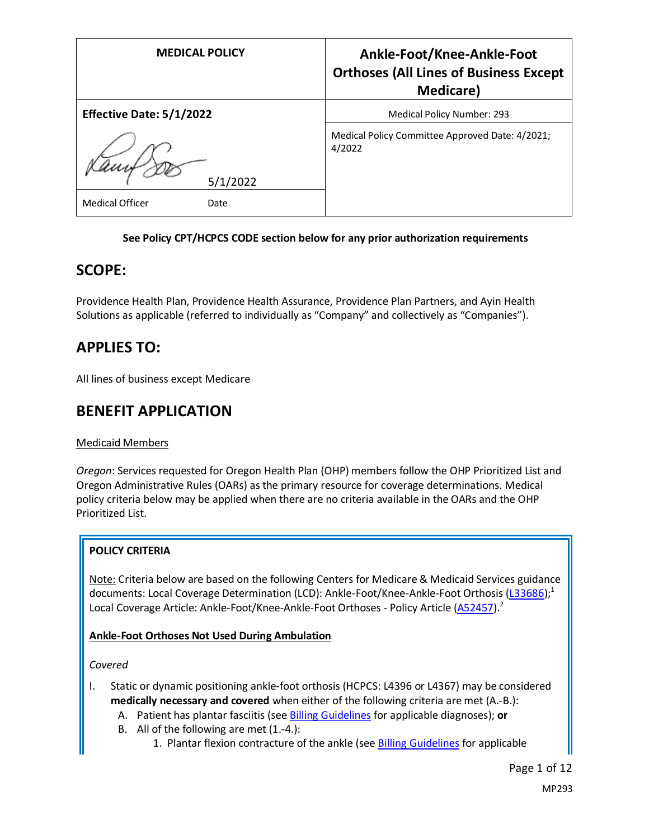| <b>MEDICAL POLICY</b>           | Ankle-Foot/Knee-Ankle-Foot<br><b>Orthoses (All Lines of Business Except</b><br><b>Medicare</b> ) |
|---------------------------------|--------------------------------------------------------------------------------------------------|
| <b>Effective Date: 5/1/2022</b> | Medical Policy Number: 293                                                                       |
| 5/1/2022                        | Medical Policy Committee Approved Date: 4/2021;<br>4/2022                                        |
| <b>Medical Officer</b><br>Date  |                                                                                                  |

#### **See Policy CPT/HCPCS CODE section below for any prior authorization requirements**

## **SCOPE:**

Providence Health Plan, Providence Health Assurance, Providence Plan Partners, and Ayin Health Solutions as applicable (referred to individually as "Company" and collectively as "Companies").

## **APPLIES TO:**

All lines of business except Medicare

## **BENEFIT APPLICATION**

#### Medicaid Members

*Oregon*: Services requested for Oregon Health Plan (OHP) members follow the OHP Prioritized List and Oregon Administrative Rules (OARs) as the primary resource for coverage determinations. Medical policy criteria below may be applied when there are no criteria available in the OARs and the OHP Prioritized List.

#### **POLICY CRITERIA**

Note: Criteria below are based on the following Centers for Medicare & Medicaid Services guidance documents: Local Coverage Determination (LCD): Ankle-Foot/Knee-Ankle-Foot Orthosis [\(L33686\)](https://www.cms.gov/medicare-coverage-database/details/lcd-details.aspx?lcdid=33686);<sup>1</sup> Local Coverage Article: Ankle-Foot/Knee-Ankle-Foot Orthoses - Policy Article [\(A52457\)](https://www.cms.gov/medicare-coverage-database/details/article-details.aspx?articleId=52457).<sup>2</sup>

#### **Ankle-Foot Orthoses Not Used During Ambulation**

#### *Covered*

- I. Static or dynamic positioning ankle-foot orthosis (HCPCS: L4396 or L4367) may be considered **medically necessary and covered** when either of the following criteria are met (A.-B.):
	- A. Patient has plantar fasciitis (se[e Billing Guidelines](#page-3-0) for applicable diagnoses); **or**
	- B. All of the following are met (1.-4.):
		- 1. Plantar flexion contracture of the ankle (se[e Billing Guidelines](#page-3-0) for applicable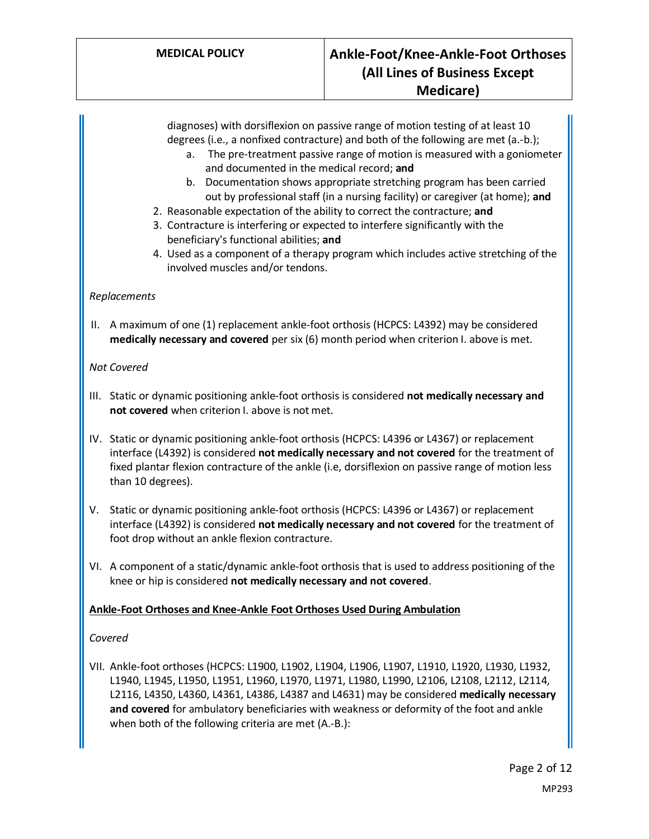diagnoses) with dorsiflexion on passive range of motion testing of at least 10 degrees (i.e., a nonfixed contracture) and both of the following are met (a.-b.);

- a. The pre-treatment passive range of motion is measured with a goniometer and documented in the medical record; **and**
- b. Documentation shows appropriate stretching program has been carried out by professional staff (in a nursing facility) or caregiver (at home); **and**
- 2. Reasonable expectation of the ability to correct the contracture; **and**
- 3. Contracture is interfering or expected to interfere significantly with the beneficiary's functional abilities; **and**
- 4. Used as a component of a therapy program which includes active stretching of the involved muscles and/or tendons.

#### *Replacements*

II. A maximum of one (1) replacement ankle-foot orthosis (HCPCS: L4392) may be considered **medically necessary and covered** per six (6) month period when criterion I. above is met.

#### *Not Covered*

- III. Static or dynamic positioning ankle-foot orthosis is considered **not medically necessary and not covered** when criterion I. above is not met.
- IV. Static or dynamic positioning ankle-foot orthosis (HCPCS: L4396 or L4367) or replacement interface (L4392) is considered **not medically necessary and not covered** for the treatment of fixed plantar flexion contracture of the ankle (i.e, dorsiflexion on passive range of motion less than 10 degrees).
- V. Static or dynamic positioning ankle-foot orthosis (HCPCS: L4396 or L4367) or replacement interface (L4392) is considered **not medically necessary and not covered** for the treatment of foot drop without an ankle flexion contracture.
- VI. A component of a static/dynamic ankle-foot orthosis that is used to address positioning of the knee or hip is considered **not medically necessary and not covered**.

#### **Ankle-Foot Orthoses and Knee-Ankle Foot Orthoses Used During Ambulation**

#### *Covered*

VII. Ankle-foot orthoses (HCPCS: L1900, L1902, L1904, L1906, L1907, L1910, L1920, L1930, L1932, L1940, L1945, L1950, L1951, L1960, L1970, L1971, L1980, L1990, L2106, L2108, L2112, L2114, L2116, L4350, L4360, L4361, L4386, L4387 and L4631) may be considered **medically necessary and covered** for ambulatory beneficiaries with weakness or deformity of the foot and ankle when both of the following criteria are met (A.-B.):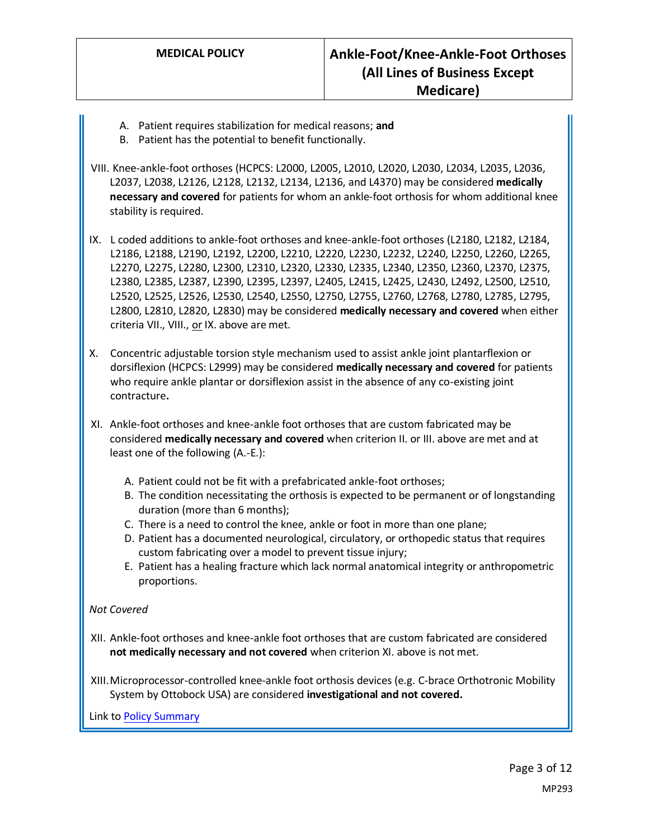- A. Patient requires stabilization for medical reasons; **and**
- B. Patient has the potential to benefit functionally.
- VIII. Knee-ankle-foot orthoses (HCPCS: L2000, L2005, L2010, L2020, L2030, L2034, L2035, L2036, L2037, L2038, L2126, L2128, L2132, L2134, L2136, and L4370) may be considered **medically necessary and covered** for patients for whom an ankle-foot orthosis for whom additional knee stability is required.
- IX. L coded additions to ankle-foot orthoses and knee-ankle-foot orthoses (L2180, L2182, L2184, L2186, L2188, L2190, L2192, L2200, L2210, L2220, L2230, L2232, L2240, L2250, L2260, L2265, L2270, L2275, L2280, L2300, L2310, L2320, L2330, L2335, L2340, L2350, L2360, L2370, L2375, L2380, L2385, L2387, L2390, L2395, L2397, L2405, L2415, L2425, L2430, L2492, L2500, L2510, L2520, L2525, L2526, L2530, L2540, L2550, L2750, L2755, L2760, L2768, L2780, L2785, L2795, L2800, L2810, L2820, L2830) may be considered **medically necessary and covered** when either criteria VII., VIII., or IX. above are met.
- X. Concentric adjustable torsion style mechanism used to assist ankle joint plantarflexion or dorsiflexion (HCPCS: L2999) may be considered **medically necessary and covered** for patients who require ankle plantar or dorsiflexion assist in the absence of any co-existing joint contracture**.**
- XI. Ankle-foot orthoses and knee-ankle foot orthoses that are custom fabricated may be considered **medically necessary and covered** when criterion II. or III. above are met and at least one of the following (A.-E.):
	- A. Patient could not be fit with a prefabricated ankle-foot orthoses;
	- B. The condition necessitating the orthosis is expected to be permanent or of longstanding duration (more than 6 months);
	- C. There is a need to control the knee, ankle or foot in more than one plane;
	- D. Patient has a documented neurological, circulatory, or orthopedic status that requires custom fabricating over a model to prevent tissue injury;
	- E. Patient has a healing fracture which lack normal anatomical integrity or anthropometric proportions.

#### *Not Covered*

XII. Ankle-foot orthoses and knee-ankle foot orthoses that are custom fabricated are considered **not medically necessary and not covered** when criterion XI. above is not met.

XIII.Microprocessor-controlled knee-ankle foot orthosis devices (e.g. C-brace Orthotronic Mobility System by Ottobock USA) are considered **investigational and not covered.**

Link t[o Policy Summary](#page-10-0)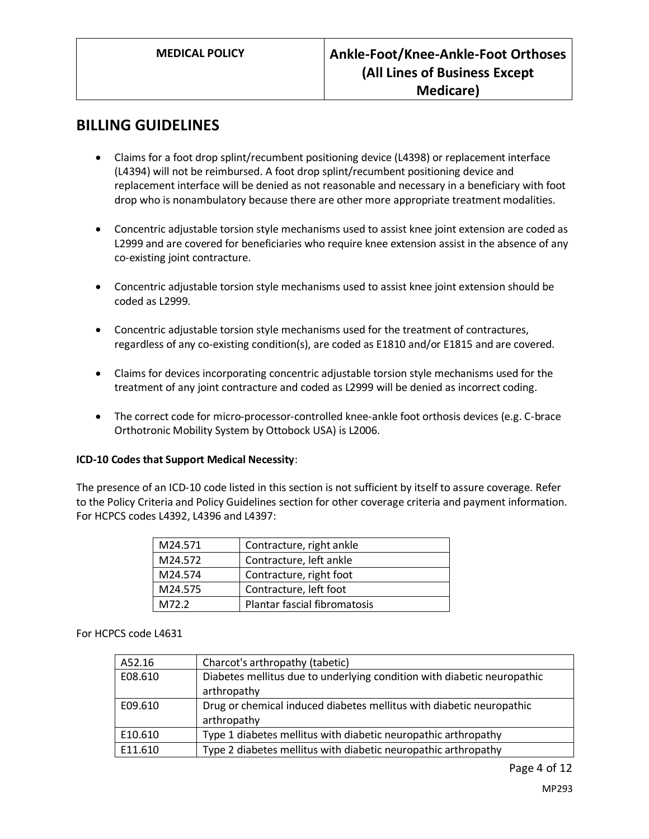## **BILLING GUIDELINES**

- Claims for a foot drop splint/recumbent positioning device (L4398) or replacement interface (L4394) will not be reimbursed. A foot drop splint/recumbent positioning device and replacement interface will be denied as not reasonable and necessary in a beneficiary with foot drop who is nonambulatory because there are other more appropriate treatment modalities.
- Concentric adjustable torsion style mechanisms used to assist knee joint extension are coded as L2999 and are covered for beneficiaries who require knee extension assist in the absence of any co-existing joint contracture.
- Concentric adjustable torsion style mechanisms used to assist knee joint extension should be coded as L2999.
- Concentric adjustable torsion style mechanisms used for the treatment of contractures, regardless of any co-existing condition(s), are coded as E1810 and/or E1815 and are covered.
- Claims for devices incorporating concentric adjustable torsion style mechanisms used for the treatment of any joint contracture and coded as L2999 will be denied as incorrect coding.
- The correct code for micro-processor-controlled knee-ankle foot orthosis devices (e.g. C-brace Orthotronic Mobility System by Ottobock USA) is L2006.

#### <span id="page-3-0"></span>**ICD-10 Codes that Support Medical Necessity**:

The presence of an ICD-10 code listed in this section is not sufficient by itself to assure coverage. Refer to the Policy Criteria and Policy Guidelines section for other coverage criteria and payment information. For HCPCS codes L4392, L4396 and L4397:

| M24.571 | Contracture, right ankle     |
|---------|------------------------------|
| M24.572 | Contracture, left ankle      |
| M24.574 | Contracture, right foot      |
| M24.575 | Contracture, left foot       |
| M72.2   | Plantar fascial fibromatosis |

For HCPCS code L4631

| A52.16  | Charcot's arthropathy (tabetic)                                         |
|---------|-------------------------------------------------------------------------|
| E08.610 | Diabetes mellitus due to underlying condition with diabetic neuropathic |
|         | arthropathy                                                             |
| E09.610 | Drug or chemical induced diabetes mellitus with diabetic neuropathic    |
|         | arthropathy                                                             |
| E10.610 | Type 1 diabetes mellitus with diabetic neuropathic arthropathy          |
| E11.610 | Type 2 diabetes mellitus with diabetic neuropathic arthropathy          |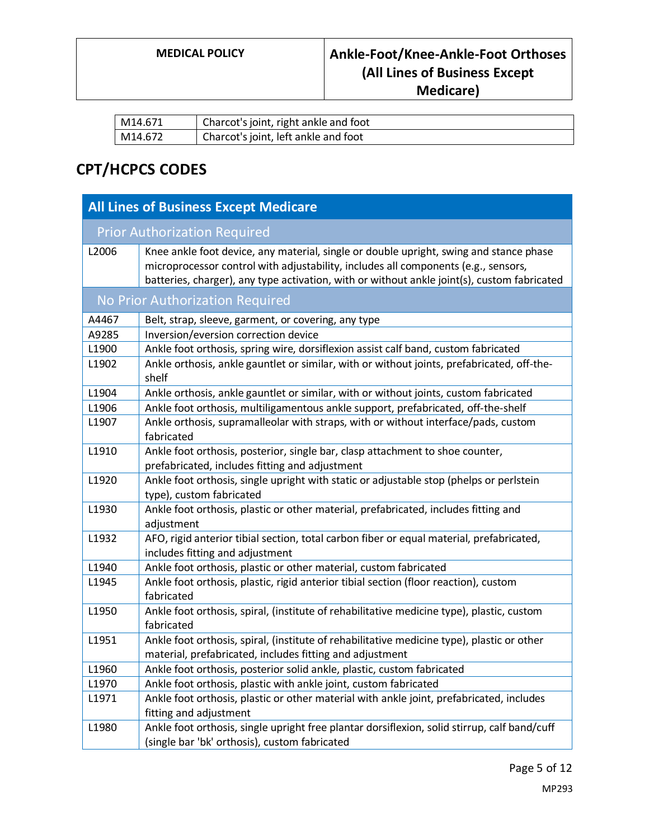| M14.671 | Charcot's joint, right ankle and foot |
|---------|---------------------------------------|
| M14.672 | Charcot's joint, left ankle and foot  |

# **CPT/HCPCS CODES**

| <b>All Lines of Business Except Medicare</b> |                                                                                                                                                                                                                                                                             |
|----------------------------------------------|-----------------------------------------------------------------------------------------------------------------------------------------------------------------------------------------------------------------------------------------------------------------------------|
| <b>Prior Authorization Required</b>          |                                                                                                                                                                                                                                                                             |
| L2006                                        | Knee ankle foot device, any material, single or double upright, swing and stance phase<br>microprocessor control with adjustability, includes all components (e.g., sensors,<br>batteries, charger), any type activation, with or without ankle joint(s), custom fabricated |
|                                              | No Prior Authorization Required                                                                                                                                                                                                                                             |
| A4467                                        | Belt, strap, sleeve, garment, or covering, any type                                                                                                                                                                                                                         |
| A9285                                        | Inversion/eversion correction device                                                                                                                                                                                                                                        |
| L1900                                        | Ankle foot orthosis, spring wire, dorsiflexion assist calf band, custom fabricated                                                                                                                                                                                          |
| L1902                                        | Ankle orthosis, ankle gauntlet or similar, with or without joints, prefabricated, off-the-<br>shelf                                                                                                                                                                         |
| L1904                                        | Ankle orthosis, ankle gauntlet or similar, with or without joints, custom fabricated                                                                                                                                                                                        |
| L1906                                        | Ankle foot orthosis, multiligamentous ankle support, prefabricated, off-the-shelf                                                                                                                                                                                           |
| L1907                                        | Ankle orthosis, supramalleolar with straps, with or without interface/pads, custom<br>fabricated                                                                                                                                                                            |
| L1910                                        | Ankle foot orthosis, posterior, single bar, clasp attachment to shoe counter,<br>prefabricated, includes fitting and adjustment                                                                                                                                             |
| L1920                                        | Ankle foot orthosis, single upright with static or adjustable stop (phelps or perlstein<br>type), custom fabricated                                                                                                                                                         |
| L1930                                        | Ankle foot orthosis, plastic or other material, prefabricated, includes fitting and<br>adjustment                                                                                                                                                                           |
| L1932                                        | AFO, rigid anterior tibial section, total carbon fiber or equal material, prefabricated,<br>includes fitting and adjustment                                                                                                                                                 |
| L1940                                        | Ankle foot orthosis, plastic or other material, custom fabricated                                                                                                                                                                                                           |
| L1945                                        | Ankle foot orthosis, plastic, rigid anterior tibial section (floor reaction), custom<br>fabricated                                                                                                                                                                          |
| L1950                                        | Ankle foot orthosis, spiral, (institute of rehabilitative medicine type), plastic, custom<br>fabricated                                                                                                                                                                     |
| L1951                                        | Ankle foot orthosis, spiral, (institute of rehabilitative medicine type), plastic or other<br>material, prefabricated, includes fitting and adjustment                                                                                                                      |
| L1960                                        | Ankle foot orthosis, posterior solid ankle, plastic, custom fabricated                                                                                                                                                                                                      |
| L1970                                        | Ankle foot orthosis, plastic with ankle joint, custom fabricated                                                                                                                                                                                                            |
| L1971                                        | Ankle foot orthosis, plastic or other material with ankle joint, prefabricated, includes<br>fitting and adjustment                                                                                                                                                          |
| L1980                                        | Ankle foot orthosis, single upright free plantar dorsiflexion, solid stirrup, calf band/cuff<br>(single bar 'bk' orthosis), custom fabricated                                                                                                                               |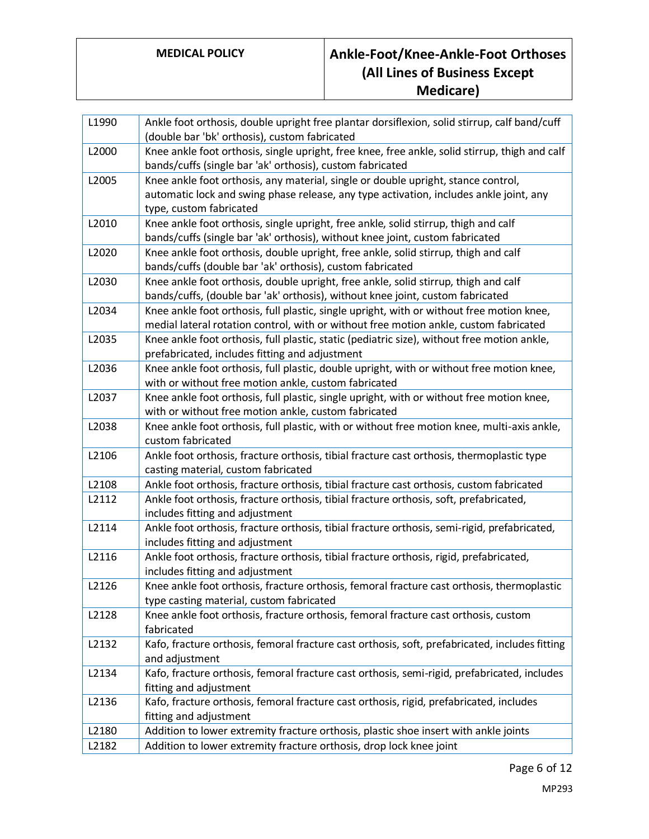| L1990 | Ankle foot orthosis, double upright free plantar dorsiflexion, solid stirrup, calf band/cuff<br>(double bar 'bk' orthosis), custom fabricated               |
|-------|-------------------------------------------------------------------------------------------------------------------------------------------------------------|
| L2000 | Knee ankle foot orthosis, single upright, free knee, free ankle, solid stirrup, thigh and calf<br>bands/cuffs (single bar 'ak' orthosis), custom fabricated |
| L2005 | Knee ankle foot orthosis, any material, single or double upright, stance control,                                                                           |
|       | automatic lock and swing phase release, any type activation, includes ankle joint, any                                                                      |
|       | type, custom fabricated                                                                                                                                     |
| L2010 | Knee ankle foot orthosis, single upright, free ankle, solid stirrup, thigh and calf                                                                         |
|       | bands/cuffs (single bar 'ak' orthosis), without knee joint, custom fabricated                                                                               |
| L2020 | Knee ankle foot orthosis, double upright, free ankle, solid stirrup, thigh and calf                                                                         |
|       | bands/cuffs (double bar 'ak' orthosis), custom fabricated                                                                                                   |
| L2030 | Knee ankle foot orthosis, double upright, free ankle, solid stirrup, thigh and calf                                                                         |
|       | bands/cuffs, (double bar 'ak' orthosis), without knee joint, custom fabricated                                                                              |
| L2034 | Knee ankle foot orthosis, full plastic, single upright, with or without free motion knee,                                                                   |
|       | medial lateral rotation control, with or without free motion ankle, custom fabricated                                                                       |
| L2035 | Knee ankle foot orthosis, full plastic, static (pediatric size), without free motion ankle,                                                                 |
|       | prefabricated, includes fitting and adjustment                                                                                                              |
| L2036 | Knee ankle foot orthosis, full plastic, double upright, with or without free motion knee,                                                                   |
|       | with or without free motion ankle, custom fabricated                                                                                                        |
| L2037 | Knee ankle foot orthosis, full plastic, single upright, with or without free motion knee,                                                                   |
|       | with or without free motion ankle, custom fabricated                                                                                                        |
| L2038 | Knee ankle foot orthosis, full plastic, with or without free motion knee, multi-axis ankle,                                                                 |
|       | custom fabricated                                                                                                                                           |
| L2106 | Ankle foot orthosis, fracture orthosis, tibial fracture cast orthosis, thermoplastic type                                                                   |
|       | casting material, custom fabricated                                                                                                                         |
| L2108 | Ankle foot orthosis, fracture orthosis, tibial fracture cast orthosis, custom fabricated                                                                    |
| L2112 | Ankle foot orthosis, fracture orthosis, tibial fracture orthosis, soft, prefabricated,<br>includes fitting and adjustment                                   |
| L2114 | Ankle foot orthosis, fracture orthosis, tibial fracture orthosis, semi-rigid, prefabricated,                                                                |
|       | includes fitting and adjustment                                                                                                                             |
| L2116 | Ankle foot orthosis, fracture orthosis, tibial fracture orthosis, rigid, prefabricated,                                                                     |
|       | includes fitting and adjustment                                                                                                                             |
| L2126 | Knee ankle foot orthosis, fracture orthosis, femoral fracture cast orthosis, thermoplastic                                                                  |
|       | type casting material, custom fabricated                                                                                                                    |
| L2128 | Knee ankle foot orthosis, fracture orthosis, femoral fracture cast orthosis, custom                                                                         |
|       | fabricated                                                                                                                                                  |
| L2132 | Kafo, fracture orthosis, femoral fracture cast orthosis, soft, prefabricated, includes fitting                                                              |
|       | and adjustment                                                                                                                                              |
| L2134 | Kafo, fracture orthosis, femoral fracture cast orthosis, semi-rigid, prefabricated, includes                                                                |
|       | fitting and adjustment                                                                                                                                      |
| L2136 | Kafo, fracture orthosis, femoral fracture cast orthosis, rigid, prefabricated, includes                                                                     |
|       | fitting and adjustment                                                                                                                                      |
| L2180 | Addition to lower extremity fracture orthosis, plastic shoe insert with ankle joints                                                                        |
| L2182 | Addition to lower extremity fracture orthosis, drop lock knee joint                                                                                         |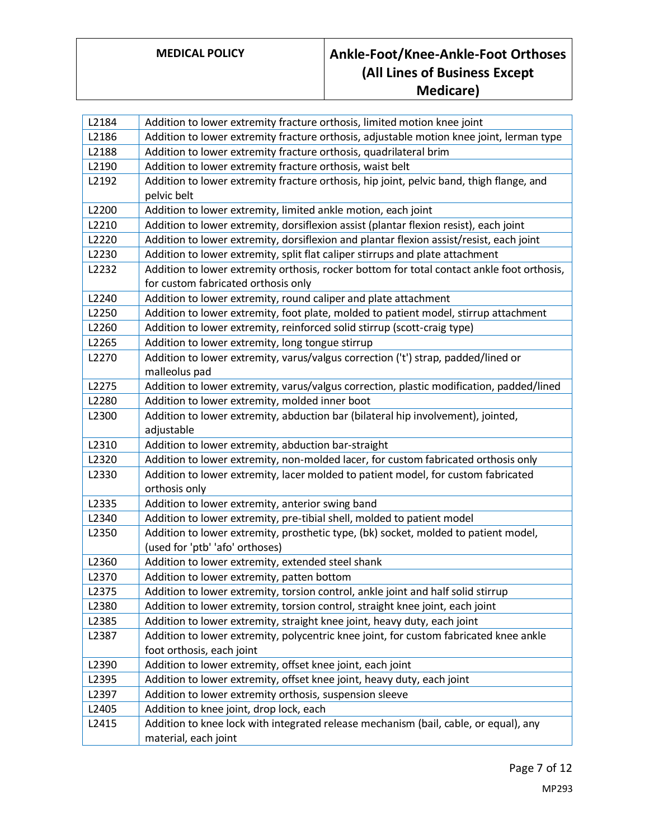| L2184                                                                                           | Addition to lower extremity fracture orthosis, limited motion knee joint                                                                                                                                                                                                                                                                                                                                                                                                                                                                                                                                                                                                                                                                                                                                                             |
|-------------------------------------------------------------------------------------------------|--------------------------------------------------------------------------------------------------------------------------------------------------------------------------------------------------------------------------------------------------------------------------------------------------------------------------------------------------------------------------------------------------------------------------------------------------------------------------------------------------------------------------------------------------------------------------------------------------------------------------------------------------------------------------------------------------------------------------------------------------------------------------------------------------------------------------------------|
| L2186                                                                                           | Addition to lower extremity fracture orthosis, adjustable motion knee joint, lerman type                                                                                                                                                                                                                                                                                                                                                                                                                                                                                                                                                                                                                                                                                                                                             |
| L2188                                                                                           | Addition to lower extremity fracture orthosis, quadrilateral brim                                                                                                                                                                                                                                                                                                                                                                                                                                                                                                                                                                                                                                                                                                                                                                    |
| L2190                                                                                           | Addition to lower extremity fracture orthosis, waist belt                                                                                                                                                                                                                                                                                                                                                                                                                                                                                                                                                                                                                                                                                                                                                                            |
| L2192                                                                                           | Addition to lower extremity fracture orthosis, hip joint, pelvic band, thigh flange, and                                                                                                                                                                                                                                                                                                                                                                                                                                                                                                                                                                                                                                                                                                                                             |
|                                                                                                 | pelvic belt                                                                                                                                                                                                                                                                                                                                                                                                                                                                                                                                                                                                                                                                                                                                                                                                                          |
| L2200                                                                                           | Addition to lower extremity, limited ankle motion, each joint                                                                                                                                                                                                                                                                                                                                                                                                                                                                                                                                                                                                                                                                                                                                                                        |
| L2210                                                                                           | Addition to lower extremity, dorsiflexion assist (plantar flexion resist), each joint                                                                                                                                                                                                                                                                                                                                                                                                                                                                                                                                                                                                                                                                                                                                                |
| L2220                                                                                           | Addition to lower extremity, dorsiflexion and plantar flexion assist/resist, each joint                                                                                                                                                                                                                                                                                                                                                                                                                                                                                                                                                                                                                                                                                                                                              |
| L2230                                                                                           | Addition to lower extremity, split flat caliper stirrups and plate attachment                                                                                                                                                                                                                                                                                                                                                                                                                                                                                                                                                                                                                                                                                                                                                        |
| L2232                                                                                           | Addition to lower extremity orthosis, rocker bottom for total contact ankle foot orthosis,                                                                                                                                                                                                                                                                                                                                                                                                                                                                                                                                                                                                                                                                                                                                           |
|                                                                                                 | for custom fabricated orthosis only                                                                                                                                                                                                                                                                                                                                                                                                                                                                                                                                                                                                                                                                                                                                                                                                  |
| L2240                                                                                           | Addition to lower extremity, round caliper and plate attachment                                                                                                                                                                                                                                                                                                                                                                                                                                                                                                                                                                                                                                                                                                                                                                      |
| L2250                                                                                           | Addition to lower extremity, foot plate, molded to patient model, stirrup attachment                                                                                                                                                                                                                                                                                                                                                                                                                                                                                                                                                                                                                                                                                                                                                 |
| L2260                                                                                           | Addition to lower extremity, reinforced solid stirrup (scott-craig type)                                                                                                                                                                                                                                                                                                                                                                                                                                                                                                                                                                                                                                                                                                                                                             |
| L2265                                                                                           | Addition to lower extremity, long tongue stirrup                                                                                                                                                                                                                                                                                                                                                                                                                                                                                                                                                                                                                                                                                                                                                                                     |
| L2270                                                                                           | Addition to lower extremity, varus/valgus correction ('t') strap, padded/lined or                                                                                                                                                                                                                                                                                                                                                                                                                                                                                                                                                                                                                                                                                                                                                    |
|                                                                                                 | malleolus pad                                                                                                                                                                                                                                                                                                                                                                                                                                                                                                                                                                                                                                                                                                                                                                                                                        |
| L2275                                                                                           | Addition to lower extremity, varus/valgus correction, plastic modification, padded/lined                                                                                                                                                                                                                                                                                                                                                                                                                                                                                                                                                                                                                                                                                                                                             |
| L2280                                                                                           | Addition to lower extremity, molded inner boot                                                                                                                                                                                                                                                                                                                                                                                                                                                                                                                                                                                                                                                                                                                                                                                       |
| L2300                                                                                           | Addition to lower extremity, abduction bar (bilateral hip involvement), jointed,                                                                                                                                                                                                                                                                                                                                                                                                                                                                                                                                                                                                                                                                                                                                                     |
|                                                                                                 | adjustable                                                                                                                                                                                                                                                                                                                                                                                                                                                                                                                                                                                                                                                                                                                                                                                                                           |
| L2310                                                                                           | Addition to lower extremity, abduction bar-straight                                                                                                                                                                                                                                                                                                                                                                                                                                                                                                                                                                                                                                                                                                                                                                                  |
| L2320                                                                                           | Addition to lower extremity, non-molded lacer, for custom fabricated orthosis only                                                                                                                                                                                                                                                                                                                                                                                                                                                                                                                                                                                                                                                                                                                                                   |
| L2330                                                                                           | Addition to lower extremity, lacer molded to patient model, for custom fabricated                                                                                                                                                                                                                                                                                                                                                                                                                                                                                                                                                                                                                                                                                                                                                    |
|                                                                                                 | orthosis only                                                                                                                                                                                                                                                                                                                                                                                                                                                                                                                                                                                                                                                                                                                                                                                                                        |
| L2335                                                                                           | Addition to lower extremity, anterior swing band                                                                                                                                                                                                                                                                                                                                                                                                                                                                                                                                                                                                                                                                                                                                                                                     |
| L2340                                                                                           | Addition to lower extremity, pre-tibial shell, molded to patient model                                                                                                                                                                                                                                                                                                                                                                                                                                                                                                                                                                                                                                                                                                                                                               |
| L2350                                                                                           | Addition to lower extremity, prosthetic type, (bk) socket, molded to patient model,                                                                                                                                                                                                                                                                                                                                                                                                                                                                                                                                                                                                                                                                                                                                                  |
|                                                                                                 | (used for 'ptb' 'afo' orthoses)                                                                                                                                                                                                                                                                                                                                                                                                                                                                                                                                                                                                                                                                                                                                                                                                      |
|                                                                                                 |                                                                                                                                                                                                                                                                                                                                                                                                                                                                                                                                                                                                                                                                                                                                                                                                                                      |
|                                                                                                 |                                                                                                                                                                                                                                                                                                                                                                                                                                                                                                                                                                                                                                                                                                                                                                                                                                      |
|                                                                                                 |                                                                                                                                                                                                                                                                                                                                                                                                                                                                                                                                                                                                                                                                                                                                                                                                                                      |
|                                                                                                 |                                                                                                                                                                                                                                                                                                                                                                                                                                                                                                                                                                                                                                                                                                                                                                                                                                      |
|                                                                                                 |                                                                                                                                                                                                                                                                                                                                                                                                                                                                                                                                                                                                                                                                                                                                                                                                                                      |
|                                                                                                 |                                                                                                                                                                                                                                                                                                                                                                                                                                                                                                                                                                                                                                                                                                                                                                                                                                      |
|                                                                                                 |                                                                                                                                                                                                                                                                                                                                                                                                                                                                                                                                                                                                                                                                                                                                                                                                                                      |
|                                                                                                 |                                                                                                                                                                                                                                                                                                                                                                                                                                                                                                                                                                                                                                                                                                                                                                                                                                      |
|                                                                                                 |                                                                                                                                                                                                                                                                                                                                                                                                                                                                                                                                                                                                                                                                                                                                                                                                                                      |
|                                                                                                 |                                                                                                                                                                                                                                                                                                                                                                                                                                                                                                                                                                                                                                                                                                                                                                                                                                      |
|                                                                                                 |                                                                                                                                                                                                                                                                                                                                                                                                                                                                                                                                                                                                                                                                                                                                                                                                                                      |
|                                                                                                 |                                                                                                                                                                                                                                                                                                                                                                                                                                                                                                                                                                                                                                                                                                                                                                                                                                      |
| L2360<br>L2370<br>L2375<br>L2380<br>L2385<br>L2387<br>L2390<br>L2395<br>L2397<br>L2405<br>L2415 | Addition to lower extremity, extended steel shank<br>Addition to lower extremity, patten bottom<br>Addition to lower extremity, torsion control, ankle joint and half solid stirrup<br>Addition to lower extremity, torsion control, straight knee joint, each joint<br>Addition to lower extremity, straight knee joint, heavy duty, each joint<br>Addition to lower extremity, polycentric knee joint, for custom fabricated knee ankle<br>foot orthosis, each joint<br>Addition to lower extremity, offset knee joint, each joint<br>Addition to lower extremity, offset knee joint, heavy duty, each joint<br>Addition to lower extremity orthosis, suspension sleeve<br>Addition to knee joint, drop lock, each<br>Addition to knee lock with integrated release mechanism (bail, cable, or equal), any<br>material, each joint |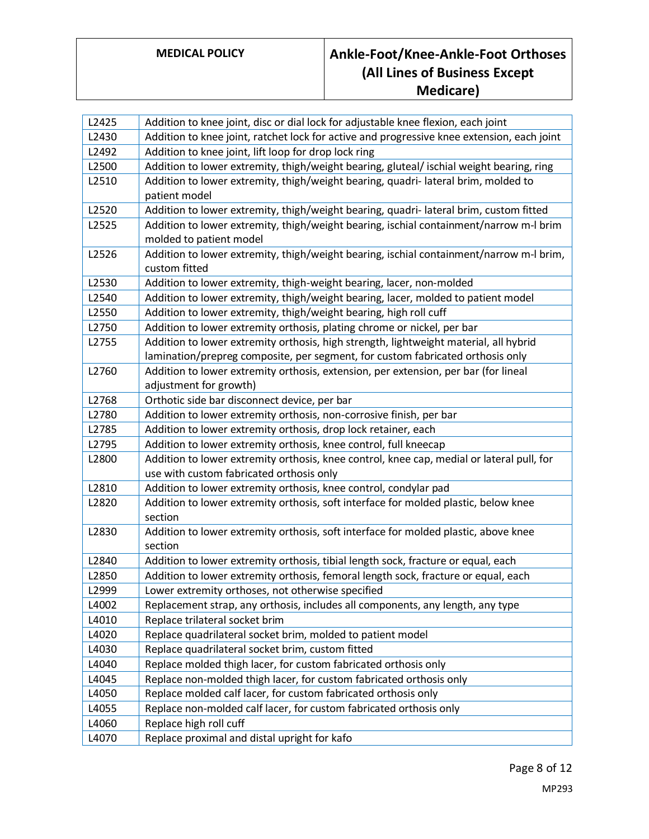| L2425 | Addition to knee joint, disc or dial lock for adjustable knee flexion, each joint                                 |
|-------|-------------------------------------------------------------------------------------------------------------------|
| L2430 | Addition to knee joint, ratchet lock for active and progressive knee extension, each joint                        |
| L2492 | Addition to knee joint, lift loop for drop lock ring                                                              |
| L2500 | Addition to lower extremity, thigh/weight bearing, gluteal/ ischial weight bearing, ring                          |
| L2510 | Addition to lower extremity, thigh/weight bearing, quadri-lateral brim, molded to                                 |
|       | patient model                                                                                                     |
| L2520 | Addition to lower extremity, thigh/weight bearing, quadri- lateral brim, custom fitted                            |
| L2525 | Addition to lower extremity, thigh/weight bearing, ischial containment/narrow m-I brim<br>molded to patient model |
| L2526 | Addition to lower extremity, thigh/weight bearing, ischial containment/narrow m-I brim,<br>custom fitted          |
| L2530 | Addition to lower extremity, thigh-weight bearing, lacer, non-molded                                              |
| L2540 | Addition to lower extremity, thigh/weight bearing, lacer, molded to patient model                                 |
| L2550 | Addition to lower extremity, thigh/weight bearing, high roll cuff                                                 |
| L2750 | Addition to lower extremity orthosis, plating chrome or nickel, per bar                                           |
| L2755 | Addition to lower extremity orthosis, high strength, lightweight material, all hybrid                             |
|       | lamination/prepreg composite, per segment, for custom fabricated orthosis only                                    |
| L2760 | Addition to lower extremity orthosis, extension, per extension, per bar (for lineal                               |
|       | adjustment for growth)                                                                                            |
| L2768 | Orthotic side bar disconnect device, per bar                                                                      |
| L2780 | Addition to lower extremity orthosis, non-corrosive finish, per bar                                               |
| L2785 | Addition to lower extremity orthosis, drop lock retainer, each                                                    |
| L2795 | Addition to lower extremity orthosis, knee control, full kneecap                                                  |
| L2800 | Addition to lower extremity orthosis, knee control, knee cap, medial or lateral pull, for                         |
|       | use with custom fabricated orthosis only                                                                          |
| L2810 | Addition to lower extremity orthosis, knee control, condylar pad                                                  |
| L2820 | Addition to lower extremity orthosis, soft interface for molded plastic, below knee<br>section                    |
| L2830 | Addition to lower extremity orthosis, soft interface for molded plastic, above knee                               |
|       | section                                                                                                           |
| L2840 | Addition to lower extremity orthosis, tibial length sock, fracture or equal, each                                 |
| L2850 | Addition to lower extremity orthosis, femoral length sock, fracture or equal, each                                |
| L2999 | Lower extremity orthoses, not otherwise specified                                                                 |
| L4002 | Replacement strap, any orthosis, includes all components, any length, any type                                    |
| L4010 | Replace trilateral socket brim                                                                                    |
| L4020 | Replace quadrilateral socket brim, molded to patient model                                                        |
| L4030 | Replace quadrilateral socket brim, custom fitted                                                                  |
| L4040 | Replace molded thigh lacer, for custom fabricated orthosis only                                                   |
| L4045 | Replace non-molded thigh lacer, for custom fabricated orthosis only                                               |
| L4050 | Replace molded calf lacer, for custom fabricated orthosis only                                                    |
| L4055 | Replace non-molded calf lacer, for custom fabricated orthosis only                                                |
| L4060 | Replace high roll cuff                                                                                            |
| L4070 | Replace proximal and distal upright for kafo                                                                      |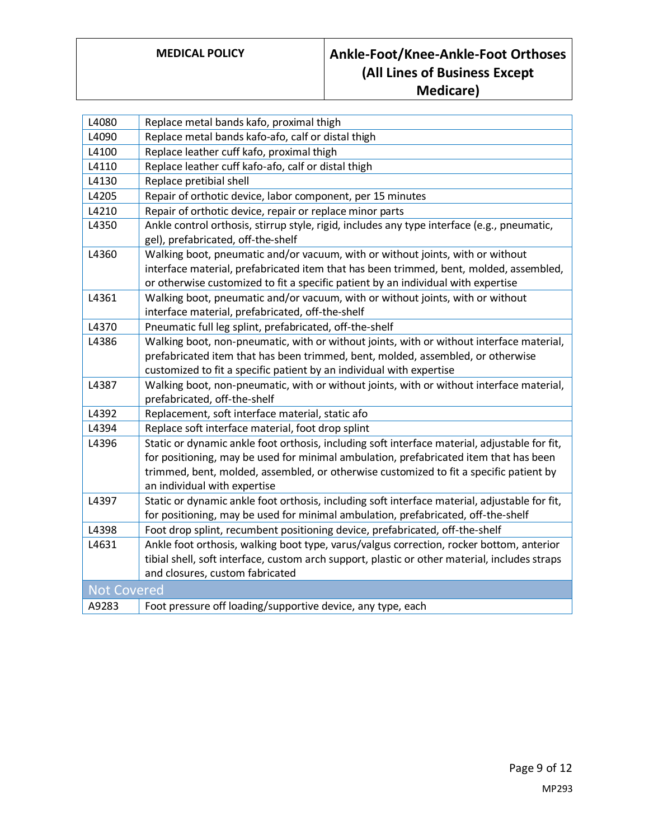| L4080              | Replace metal bands kafo, proximal thigh                                                                                 |
|--------------------|--------------------------------------------------------------------------------------------------------------------------|
| L4090              | Replace metal bands kafo-afo, calf or distal thigh                                                                       |
| L4100              | Replace leather cuff kafo, proximal thigh                                                                                |
| L4110              | Replace leather cuff kafo-afo, calf or distal thigh                                                                      |
| L4130              | Replace pretibial shell                                                                                                  |
| L4205              | Repair of orthotic device, labor component, per 15 minutes                                                               |
| L4210              | Repair of orthotic device, repair or replace minor parts                                                                 |
| L4350              | Ankle control orthosis, stirrup style, rigid, includes any type interface (e.g., pneumatic,                              |
|                    | gel), prefabricated, off-the-shelf                                                                                       |
| L4360              | Walking boot, pneumatic and/or vacuum, with or without joints, with or without                                           |
|                    | interface material, prefabricated item that has been trimmed, bent, molded, assembled,                                   |
|                    | or otherwise customized to fit a specific patient by an individual with expertise                                        |
| L4361              | Walking boot, pneumatic and/or vacuum, with or without joints, with or without                                           |
|                    | interface material, prefabricated, off-the-shelf                                                                         |
| L4370              | Pneumatic full leg splint, prefabricated, off-the-shelf                                                                  |
| L4386              | Walking boot, non-pneumatic, with or without joints, with or without interface material,                                 |
|                    | prefabricated item that has been trimmed, bent, molded, assembled, or otherwise                                          |
|                    | customized to fit a specific patient by an individual with expertise                                                     |
| L4387              | Walking boot, non-pneumatic, with or without joints, with or without interface material,<br>prefabricated, off-the-shelf |
| L4392              | Replacement, soft interface material, static afo                                                                         |
| L4394              | Replace soft interface material, foot drop splint                                                                        |
| L4396              | Static or dynamic ankle foot orthosis, including soft interface material, adjustable for fit,                            |
|                    | for positioning, may be used for minimal ambulation, prefabricated item that has been                                    |
|                    | trimmed, bent, molded, assembled, or otherwise customized to fit a specific patient by                                   |
|                    | an individual with expertise                                                                                             |
| L4397              | Static or dynamic ankle foot orthosis, including soft interface material, adjustable for fit,                            |
|                    | for positioning, may be used for minimal ambulation, prefabricated, off-the-shelf                                        |
| L4398              | Foot drop splint, recumbent positioning device, prefabricated, off-the-shelf                                             |
| L4631              | Ankle foot orthosis, walking boot type, varus/valgus correction, rocker bottom, anterior                                 |
|                    | tibial shell, soft interface, custom arch support, plastic or other material, includes straps                            |
|                    | and closures, custom fabricated                                                                                          |
| <b>Not Covered</b> |                                                                                                                          |
| A9283              | Foot pressure off loading/supportive device, any type, each                                                              |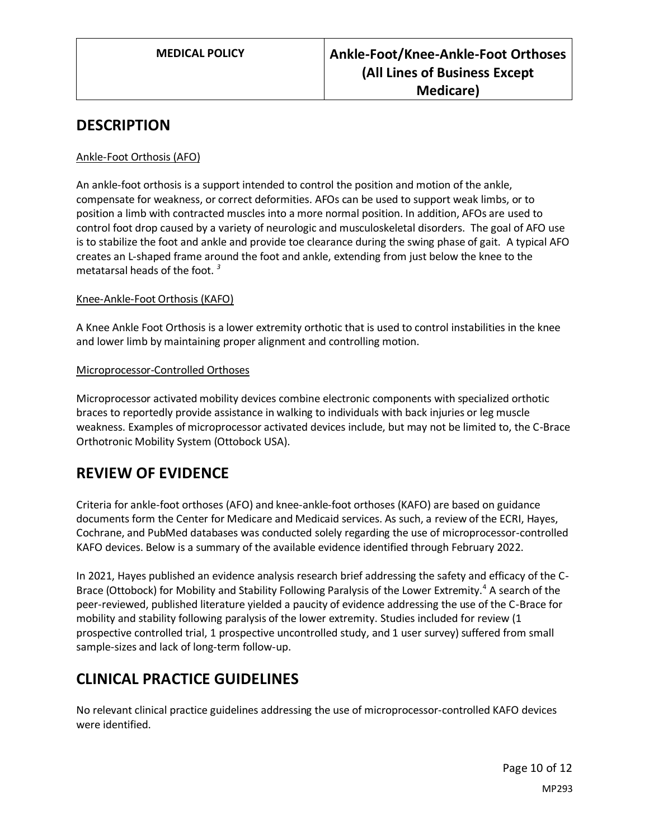## **DESCRIPTION**

### Ankle-Foot Orthosis (AFO)

An ankle-foot orthosis is a support intended to control the position and motion of the ankle, compensate for weakness, or correct deformities. AFOs can be used to support weak limbs, or to position a limb with contracted muscles into a more normal position. In addition, AFOs are used to control foot drop caused by a variety of neurologic and musculoskeletal disorders. The goal of AFO use is to stabilize the foot and ankle and provide toe clearance during the swing phase of gait. A typical AFO creates an L-shaped frame around the foot and ankle, extending from just below the knee to the metatarsal heads of the foot. *<sup>3</sup>*

#### Knee-Ankle-Foot Orthosis (KAFO)

A Knee Ankle Foot Orthosis is a lower extremity orthotic that is used to control instabilities in the knee and lower limb by maintaining proper alignment and controlling motion.

### Microprocessor-Controlled Orthoses

Microprocessor activated mobility devices combine electronic components with specialized orthotic braces to reportedly provide assistance in walking to individuals with back injuries or leg muscle weakness. Examples of microprocessor activated devices include, but may not be limited to, the C-Brace Orthotronic Mobility System (Ottobock USA).

## **REVIEW OF EVIDENCE**

Criteria for ankle-foot orthoses (AFO) and knee-ankle-foot orthoses (KAFO) are based on guidance documents form the Center for Medicare and Medicaid services. As such, a review of the ECRI, Hayes, Cochrane, and PubMed databases was conducted solely regarding the use of microprocessor-controlled KAFO devices. Below is a summary of the available evidence identified through February 2022.

In 2021, Hayes published an evidence analysis research brief addressing the safety and efficacy of the C-Brace (Ottobock) for Mobility and Stability Following Paralysis of the Lower Extremity.<sup>4</sup> A search of the peer-reviewed, published literature yielded a paucity of evidence addressing the use of the C-Brace for mobility and stability following paralysis of the lower extremity. Studies included for review (1 prospective controlled trial, 1 prospective uncontrolled study, and 1 user survey) suffered from small sample-sizes and lack of long-term follow-up.

# **CLINICAL PRACTICE GUIDELINES**

No relevant clinical practice guidelines addressing the use of microprocessor-controlled KAFO devices were identified.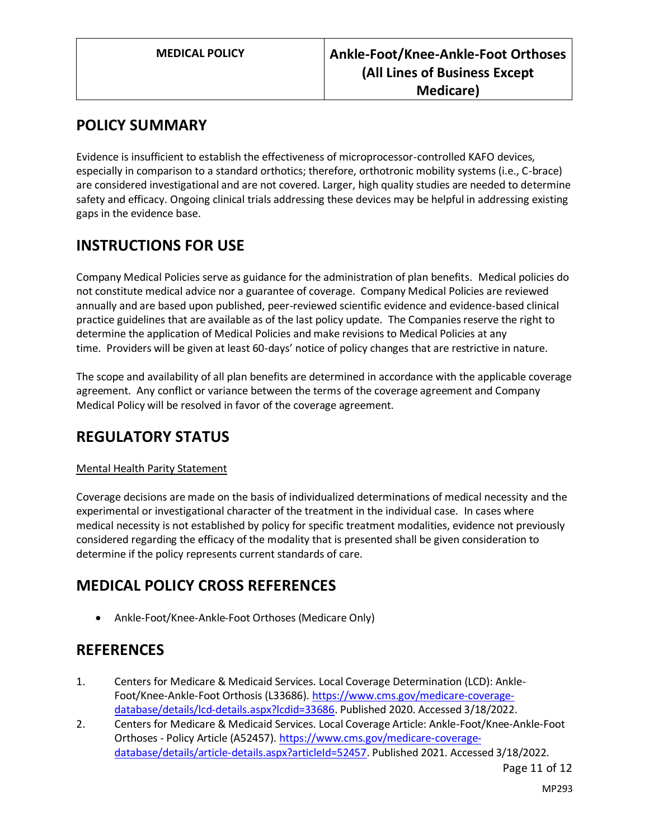## <span id="page-10-0"></span>**POLICY SUMMARY**

Evidence is insufficient to establish the effectiveness of microprocessor-controlled KAFO devices, especially in comparison to a standard orthotics; therefore, orthotronic mobility systems (i.e., C-brace) are considered investigational and are not covered. Larger, high quality studies are needed to determine safety and efficacy. Ongoing clinical trials addressing these devices may be helpful in addressing existing gaps in the evidence base.

# **INSTRUCTIONS FOR USE**

Company Medical Policies serve as guidance for the administration of plan benefits. Medical policies do not constitute medical advice nor a guarantee of coverage. Company Medical Policies are reviewed annually and are based upon published, peer-reviewed scientific evidence and evidence-based clinical practice guidelines that are available as of the last policy update. The Companies reserve the right to determine the application of Medical Policies and make revisions to Medical Policies at any time. Providers will be given at least 60-days' notice of policy changes that are restrictive in nature.

The scope and availability of all plan benefits are determined in accordance with the applicable coverage agreement. Any conflict or variance between the terms of the coverage agreement and Company Medical Policy will be resolved in favor of the coverage agreement.

## **REGULATORY STATUS**

## Mental Health Parity Statement

Coverage decisions are made on the basis of individualized determinations of medical necessity and the experimental or investigational character of the treatment in the individual case. In cases where medical necessity is not established by policy for specific treatment modalities, evidence not previously considered regarding the efficacy of the modality that is presented shall be given consideration to determine if the policy represents current standards of care.

# **MEDICAL POLICY CROSS REFERENCES**

• Ankle-Foot/Knee-Ankle-Foot Orthoses (Medicare Only)

## **REFERENCES**

- 1. Centers for Medicare & Medicaid Services. Local Coverage Determination (LCD): Ankle-Foot/Knee-Ankle-Foot Orthosis (L33686). [https://www.cms.gov/medicare-coverage](https://www.cms.gov/medicare-coverage-database/details/lcd-details.aspx?lcdid=33686)[database/details/lcd-details.aspx?lcdid=33686.](https://www.cms.gov/medicare-coverage-database/details/lcd-details.aspx?lcdid=33686) Published 2020. Accessed 3/18/2022.
- 2. Centers for Medicare & Medicaid Services. Local Coverage Article: Ankle-Foot/Knee-Ankle-Foot Orthoses - Policy Article (A52457). [https://www.cms.gov/medicare-coverage](https://www.cms.gov/medicare-coverage-database/details/article-details.aspx?articleId=52457)[database/details/article-details.aspx?articleId=52457.](https://www.cms.gov/medicare-coverage-database/details/article-details.aspx?articleId=52457) Published 2021. Accessed 3/18/2022.

Page 11 of 12